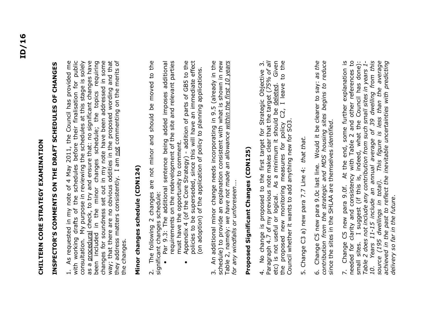# **CHILTERN CORE STRATEGY EXAMINATION**  CHILTERN CORE STRATEGY EXAMINATION

# INSPECTOR'S COMMENTS ON THE DRAFT SCHEDULES OF CHANGES **INSPECTOR'S COMMENTS ON THE DRAFT SCHEDULES OF CHANGES**

1. As requested in my note of 4 May 2011, the Council has provided me with working drafts of the schedules before their finalisation for public consultation. My purpose in reviewing the schedules at this stage is solely as a procedural check, to try and ensure that: no significant changes have been included in the minor changes schedule; the topics requiring changes for soundness set out in my note have been addressed in some way; that there are no obvious oddities in the proposed wording and that they address matters consistently. I am not commenting on the merits of 1. As requested in my note of 4 May 2011, the Council has provided me<br>with working drafts of the schedules before their finalisation for public as a procedural check, to try and ensure that: no significant changes have been included in the minor changes schedule; the topics requiring consultation. My purpose in reviewing the schedules at this stage is solely changes for soundness set out in my note have been addressed in some way; that there are no obvious oddities in the proposed wording and that they address matters consistently. I am not commenting on the merits of the changes. the changes.

### **Minor changes schedule (CDN124)**  Minor changes schedule (CDN124)

2. The following 2 changes are not minor and should be moved to the The following 2 changes are not minor and should be moved to the significant changes schedule:<br>• Par 9.3: The additional sentence being added imposes additional significant changes schedule:  $\overline{\mathcal{N}}$ 

- Par 9.3: The additional sentence being added imposes additional requirements on the redevelopment of the site and relevant parties requirements on the redevelopment of the site and relevant parties must have the opportunity to comment. must have the opportunity to comment.
	- Appendix 4 (of the Core Strategy) addition of parts of GB5 to the policies to be superseded, since this will have an immediate effect (on adoption) of the application of policy to planning applications. policies to be superseded, since this will have an immediate effect Appendix 4 (of the Core Strategy) - addition of parts of GB5 to the (on adoption) of the application of policy to planning applications.  $\bullet$

3. An additional minor change needs incorporating in 9.5 (already in the schedule) to provide an explanation consistent with what is shown in new Table 2, namely: *we have not made an allowance within the first 10 years*  3. An additional minor change needs incorporating in 9.5 (already in the schedule) to provide an explanation consistent with what is shown in new Table 2, namely: we have not made an allowance within the first 10 years<br>for any windfalls or unforeseen.... *for any windfalls or unforeseen*….

## **Proposed Significant Changes (CDN125)**  Proposed Significant Changes (CDN125)

4. No change is proposed to the first target for Strategic Objective 3. etc) is not useful or logical. As a minimum it should be deleted. Given the proposed new monitoring measures for policy C2, I leave to the 4. No change is proposed to the first target for Strategic Objective 3.<br>Paragraph 4.7 of my previous note makes clear that the target (75% of all<br>etc) is not useful or logical. As a minimum it should be deleted. Given the proposed new monitoring measures for policy C2, I leave to the Paragraph 4.7 of my previous note makes clear that the target (*75% of all* Council whether it wants to add anything new for SO3. Council whether it wants to add anything new for SO3.

5. Change C3 a) new para 7.7 Line 4: *that that.* 5. Change C3 a) new para 7.7 Line 4: that that.

6. Change C5 new para 9.0c last line. Would it be clearer to say: *as the*  6. Change C5 new para 9.0c last line. Would it be clearer to say: as the contribution from the strategic and MDS housing sites begins to reduce since the sites in the SHLAA are themselves identified. *contribution from the strategic and MDS housing sites begins to reduce* since the sites in the SHLAA are themselves *identified*.

7. Change C5 new para 9.0f. At the end, some further explanation is needed for clarity and consistency with Table 2 and other references to small sites. I suggest (if this is, indeed, what the Council has done):<br>Table 2 does not include any contribution from such small sites in years 1-<br>10. Years 11-15 include an annual average of 39 dwelling from this<br>source small sites. I suggest (if this is, indeed, what the Council has done): *10. Years 11-15 include an annual average of 39 dwelling from this source (195 dwellings in total). This figure is less than the average achieved in the past to reflect the inevitable uncertainties with predicting*  7. Change C5 new para 9.0f. At the end, some further explanation is needed for clarity and consistency with Table 2 and other references to small sites. I suggest (if this is, indeed, what the Council has done): *Table 2 does not include any contribution from such small sites in years 1 delivery so far in the future*.